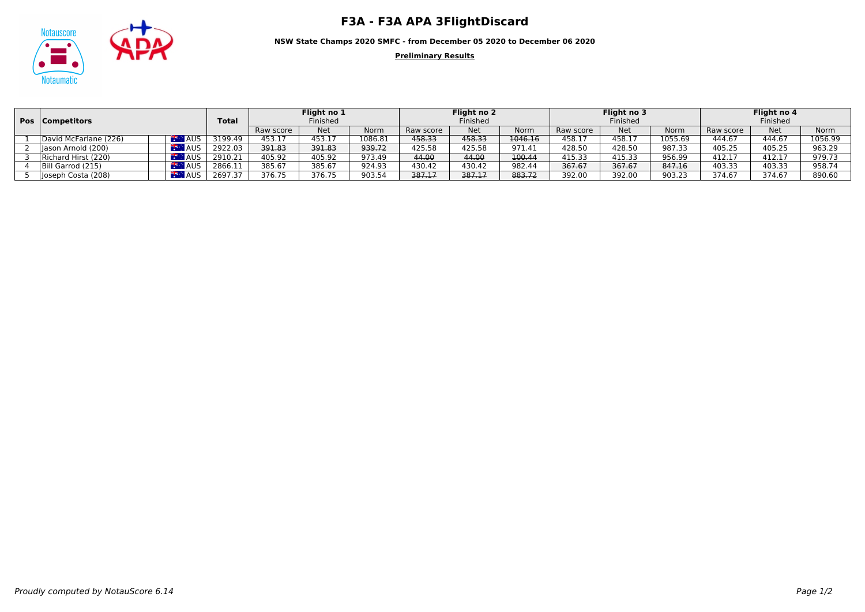

**NSW State Champs 2020 SMFC - from December 05 2020 to December 06 2020**

**Preliminary Results**

|  | <b>Pos</b>   Competitors |            |              | Flight no 1       |            | Flight no 2 |           | Flight no 3 |             | Flight no 4<br>Finished |            |         |           |            |             |
|--|--------------------------|------------|--------------|-------------------|------------|-------------|-----------|-------------|-------------|-------------------------|------------|---------|-----------|------------|-------------|
|  |                          |            | <b>Total</b> | Finished          |            |             | Finished  |             |             |                         |            |         | Finished  |            |             |
|  |                          |            |              | Raw score         | <b>Net</b> | Norm        | Raw score | <b>Net</b>  | <b>Norm</b> | Raw score               | <b>Net</b> | Norm    | Raw score | <b>Net</b> | <b>Norm</b> |
|  | David McFarlane (226)    | <b>AUS</b> | 3199.49      | 453.17            | 453.17     | 1086.81     | 458.33    | 458.33      | 1046.16     | 458.17                  | 458.17     | 1055.69 | 444.67    | 444.67     | 1056.99     |
|  | Iason Arnold (200)       | AUS        | 2922.03      | <del>391.83</del> | 391.83     | 939.72      | 425.58    | 425.58      | 971.41      | 428.50                  | 428.50     | 987.33  | 405.25    | 405.25     | 963.29      |
|  | Richard Hirst (220)      | <b>AUS</b> | 2910.21      | 405.92            | 405.92     | 973.49      | 44.00     | 44.00       | 100.44      | 415.33                  | 415.33     | 956.99  | 412.17    | 412.1      | 979.73      |
|  | Bill Garrod (215)        | AUS        | 2866.11      | 385.67            | 385.67     | 924.93      | 430.42    | 430.42      | 982.44      | 367.67                  | 367.67     | 847.16  | 403.33    | 403.33     | 958.74      |
|  | Joseph Costa (208)       | <b>AUS</b> | 2697.37      | 376.75            | 376.75     | 903.54      | 387.17    | 387.17      | 883.72      | 392.00                  | 392.00     | 903.23  | 374.67    | 374.67     | 890.60      |